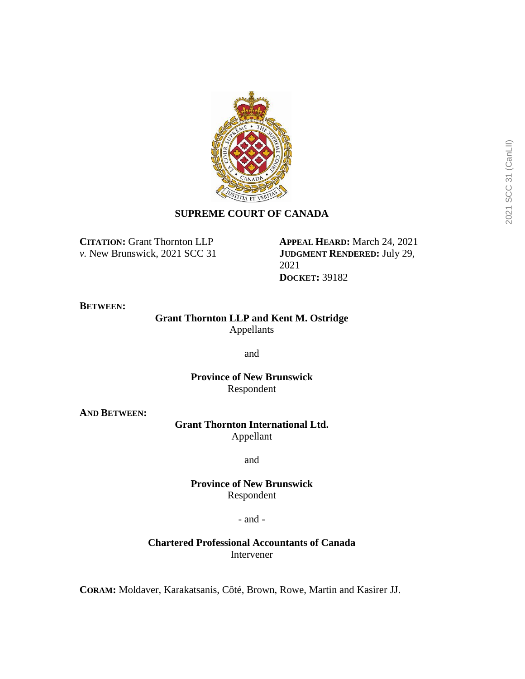

# **SUPREME COURT OF CANADA**

**CITATION:** Grant Thornton LLP *v.* New Brunswick, 2021 SCC 31 **APPEAL HEARD:** March 24, 2021 **JUDGMENT RENDERED:** July 29, 2021 **DOCKET:** 39182

#### **BETWEEN:**

# **Grant Thornton LLP and Kent M. Ostridge** Appellants

and

**Province of New Brunswick** Respondent

**AND BETWEEN:**

# **Grant Thornton International Ltd.** Appellant

and

**Province of New Brunswick** Respondent

- and -

# **Chartered Professional Accountants of Canada** Intervener

**CORAM:** Moldaver, Karakatsanis, Côté, Brown, Rowe, Martin and Kasirer JJ.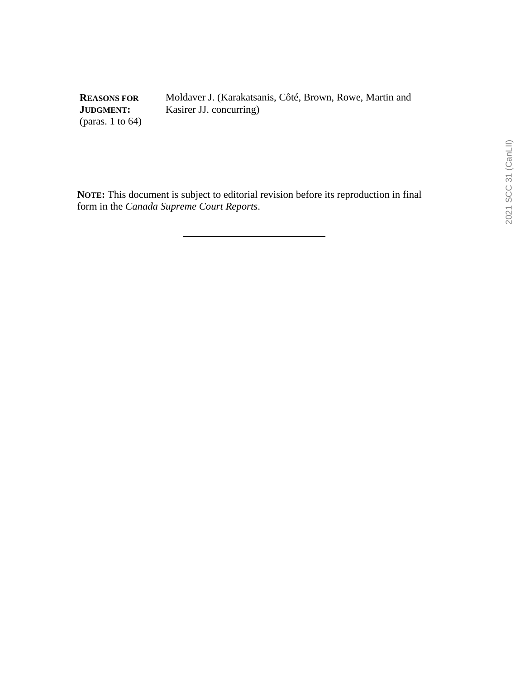**REASONS FOR JUDGMENT:** (paras. 1 to 64) Moldaver J. (Karakatsanis, Côté, Brown, Rowe, Martin and Kasirer JJ. concurring)

**NOTE:** This document is subject to editorial revision before its reproduction in final form in the *Canada Supreme Court Reports*.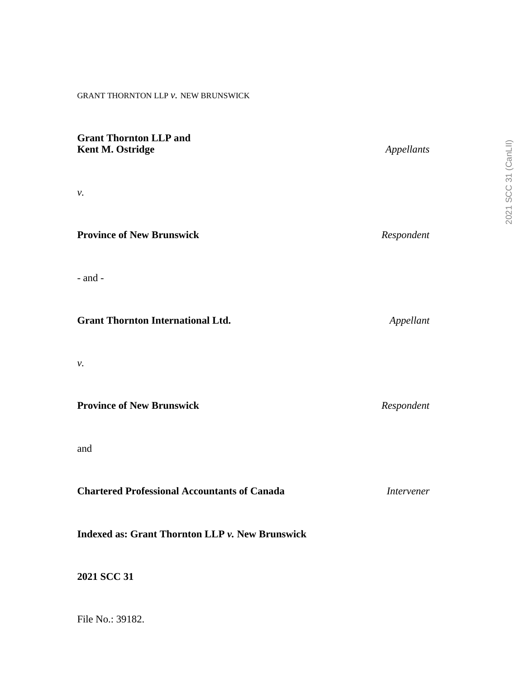## GRANT THORNTON LLP *v.* NEW BRUNSWICK

| <b>Grant Thornton LLP and</b><br>Kent M. Ostridge   | Appellants        |
|-----------------------------------------------------|-------------------|
| ν.                                                  |                   |
| <b>Province of New Brunswick</b>                    | Respondent        |
| $-$ and $-$                                         |                   |
| <b>Grant Thornton International Ltd.</b>            | Appellant         |
| ν.                                                  |                   |
| <b>Province of New Brunswick</b>                    | Respondent        |
| and                                                 |                   |
| <b>Chartered Professional Accountants of Canada</b> | <b>Intervener</b> |
| Indexed as: Grant Thornton LLP v. New Brunswick     |                   |

**2021 SCC 31**

File No.: 39182.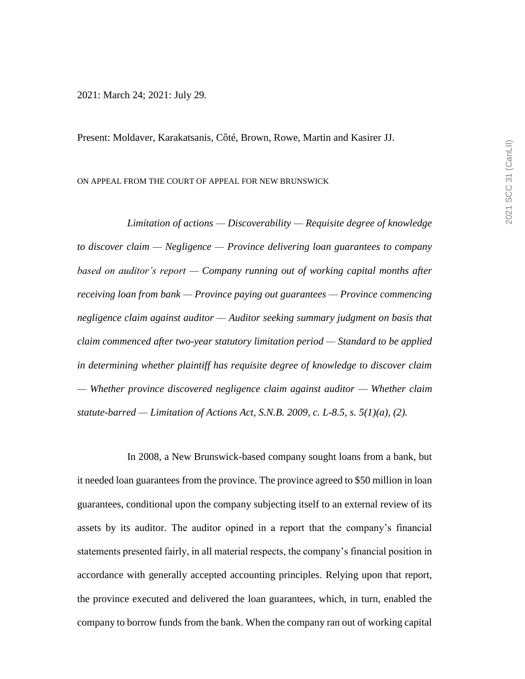2021: March 24; 2021: July 29.

Present: Moldaver, Karakatsanis, Côté, Brown, Rowe, Martin and Kasirer JJ.

ON APPEAL FROM THE COURT OF APPEAL FOR NEW BRUNSWICK

*Limitation of actions — Discoverability — Requisite degree of knowledge to discover claim — Negligence — Province delivering loan guarantees to company based on auditor's report — Company running out of working capital months after receiving loan from bank — Province paying out guarantees — Province commencing negligence claim against auditor — Auditor seeking summary judgment on basis that claim commenced after two-year statutory limitation period — Standard to be applied in determining whether plaintiff has requisite degree of knowledge to discover claim — Whether province discovered negligence claim against auditor — Whether claim statute-barred — Limitation of Actions Act, S.N.B. 2009, c. L-8.5, s. 5(1)(a), (2).*

In 2008, a New Brunswick-based company sought loans from a bank, but it needed loan guarantees from the province. The province agreed to \$50 million in loan guarantees, conditional upon the company subjecting itself to an external review of its assets by its auditor. The auditor opined in a report that the company's financial statements presented fairly, in all material respects, the company's financial position in accordance with generally accepted accounting principles. Relying upon that report, the province executed and delivered the loan guarantees, which, in turn, enabled the company to borrow funds from the bank. When the company ran out of working capital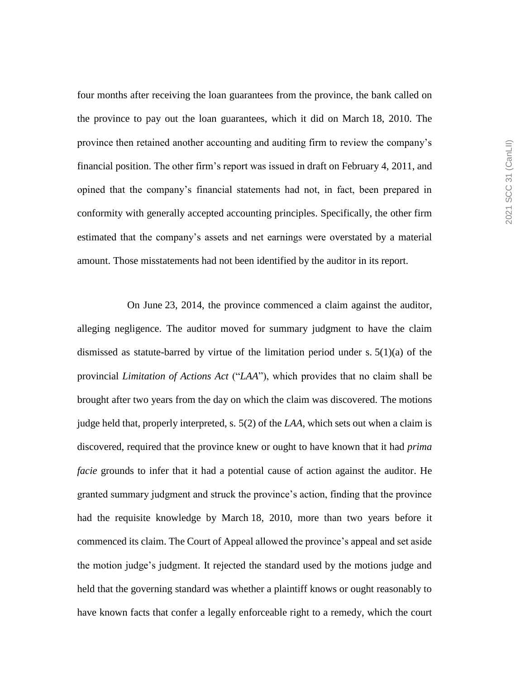four months after receiving the loan guarantees from the province, the bank called on the province to pay out the loan guarantees, which it did on March 18, 2010. The province then retained another accounting and auditing firm to review the company's financial position. The other firm's report was issued in draft on February 4, 2011, and opined that the company's financial statements had not, in fact, been prepared in conformity with generally accepted accounting principles. Specifically, the other firm estimated that the company's assets and net earnings were overstated by a material amount. Those misstatements had not been identified by the auditor in its report.

On June 23, 2014, the province commenced a claim against the auditor, alleging negligence. The auditor moved for summary judgment to have the claim dismissed as statute-barred by virtue of the limitation period under s.  $5(1)(a)$  of the provincial *Limitation of Actions Act* ("*LAA*"), which provides that no claim shall be brought after two years from the day on which the claim was discovered. The motions judge held that, properly interpreted, s. 5(2) of the *LAA*, which sets out when a claim is discovered, required that the province knew or ought to have known that it had *prima facie* grounds to infer that it had a potential cause of action against the auditor. He granted summary judgment and struck the province's action, finding that the province had the requisite knowledge by March 18, 2010, more than two years before it commenced its claim. The Court of Appeal allowed the province's appeal and set aside the motion judge's judgment. It rejected the standard used by the motions judge and held that the governing standard was whether a plaintiff knows or ought reasonably to have known facts that confer a legally enforceable right to a remedy, which the court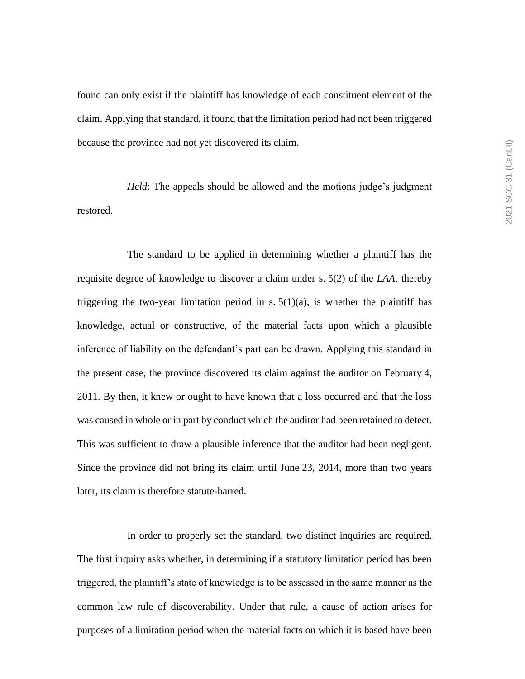found can only exist if the plaintiff has knowledge of each constituent element of the claim. Applying that standard, it found that the limitation period had not been triggered because the province had not yet discovered its claim.

*Held*: The appeals should be allowed and the motions judge's judgment restored.

The standard to be applied in determining whether a plaintiff has the requisite degree of knowledge to discover a claim under s. 5(2) of the *LAA*, thereby triggering the two-year limitation period in s.  $5(1)(a)$ , is whether the plaintiff has knowledge, actual or constructive, of the material facts upon which a plausible inference of liability on the defendant's part can be drawn. Applying this standard in the present case, the province discovered its claim against the auditor on February 4, 2011. By then, it knew or ought to have known that a loss occurred and that the loss was caused in whole or in part by conduct which the auditor had been retained to detect. This was sufficient to draw a plausible inference that the auditor had been negligent. Since the province did not bring its claim until June 23, 2014, more than two years later, its claim is therefore statute-barred.

In order to properly set the standard, two distinct inquiries are required. The first inquiry asks whether, in determining if a statutory limitation period has been triggered, the plaintiff's state of knowledge is to be assessed in the same manner as the common law rule of discoverability. Under that rule, a cause of action arises for purposes of a limitation period when the material facts on which it is based have been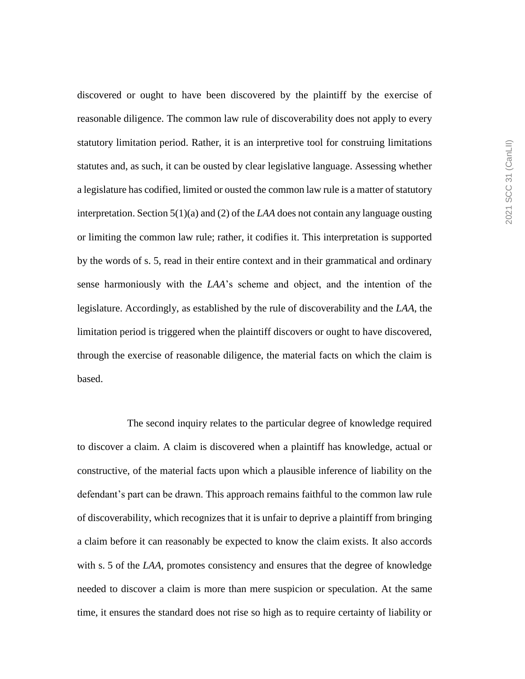discovered or ought to have been discovered by the plaintiff by the exercise of reasonable diligence. The common law rule of discoverability does not apply to every statutory limitation period. Rather, it is an interpretive tool for construing limitations statutes and, as such, it can be ousted by clear legislative language. Assessing whether a legislature has codified, limited or ousted the common law rule is a matter of statutory interpretation. Section 5(1)(a) and (2) of the *LAA* does not contain any language ousting or limiting the common law rule; rather, it codifies it. This interpretation is supported by the words of s. 5, read in their entire context and in their grammatical and ordinary sense harmoniously with the *LAA*'s scheme and object, and the intention of the legislature. Accordingly, as established by the rule of discoverability and the *LAA*, the limitation period is triggered when the plaintiff discovers or ought to have discovered, through the exercise of reasonable diligence, the material facts on which the claim is based.

The second inquiry relates to the particular degree of knowledge required to discover a claim. A claim is discovered when a plaintiff has knowledge, actual or constructive, of the material facts upon which a plausible inference of liability on the defendant's part can be drawn. This approach remains faithful to the common law rule of discoverability, which recognizes that it is unfair to deprive a plaintiff from bringing a claim before it can reasonably be expected to know the claim exists. It also accords with s. 5 of the *LAA*, promotes consistency and ensures that the degree of knowledge needed to discover a claim is more than mere suspicion or speculation. At the same time, it ensures the standard does not rise so high as to require certainty of liability or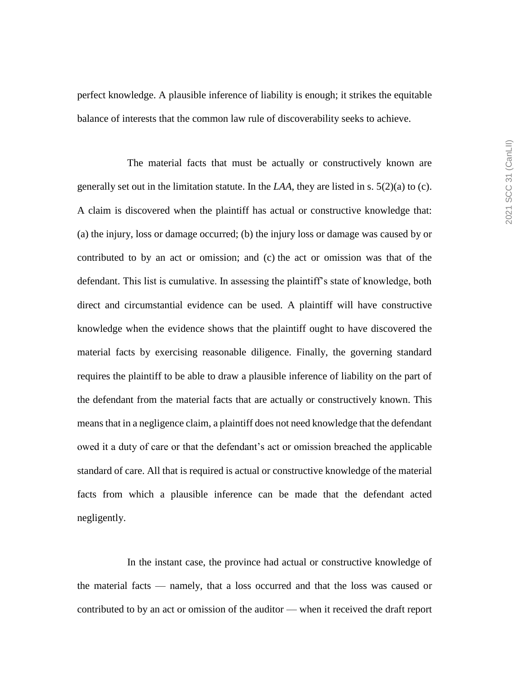perfect knowledge. A plausible inference of liability is enough; it strikes the equitable balance of interests that the common law rule of discoverability seeks to achieve.

The material facts that must be actually or constructively known are generally set out in the limitation statute. In the  $LAA$ , they are listed in s.  $5(2)(a)$  to (c). A claim is discovered when the plaintiff has actual or constructive knowledge that: (a) the injury, loss or damage occurred; (b) the injury loss or damage was caused by or contributed to by an act or omission; and (c) the act or omission was that of the defendant. This list is cumulative. In assessing the plaintiff's state of knowledge, both direct and circumstantial evidence can be used. A plaintiff will have constructive knowledge when the evidence shows that the plaintiff ought to have discovered the material facts by exercising reasonable diligence. Finally, the governing standard requires the plaintiff to be able to draw a plausible inference of liability on the part of the defendant from the material facts that are actually or constructively known. This means that in a negligence claim, a plaintiff does not need knowledge that the defendant owed it a duty of care or that the defendant's act or omission breached the applicable standard of care. All that is required is actual or constructive knowledge of the material facts from which a plausible inference can be made that the defendant acted negligently.

In the instant case, the province had actual or constructive knowledge of the material facts — namely, that a loss occurred and that the loss was caused or contributed to by an act or omission of the auditor — when it received the draft report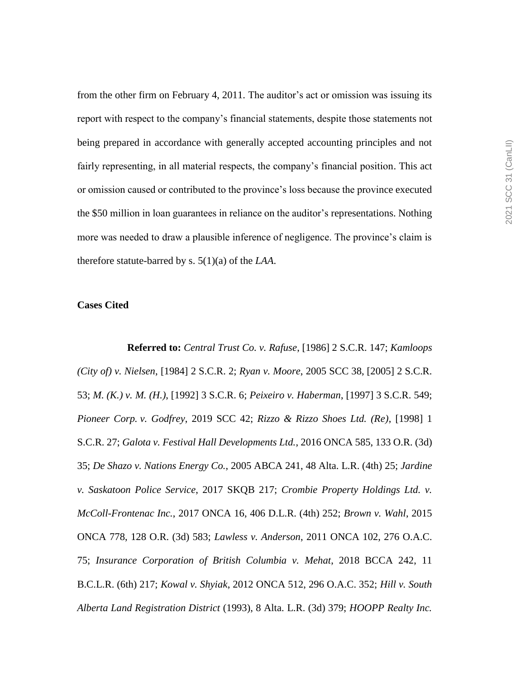from the other firm on February 4, 2011. The auditor's act or omission was issuing its report with respect to the company's financial statements, despite those statements not being prepared in accordance with generally accepted accounting principles and not fairly representing, in all material respects, the company's financial position. This act or omission caused or contributed to the province's loss because the province executed the \$50 million in loan guarantees in reliance on the auditor's representations. Nothing more was needed to draw a plausible inference of negligence. The province's claim is therefore statute-barred by s. 5(1)(a) of the *LAA*.

#### **Cases Cited**

**Referred to:** *Central Trust Co. v. Rafuse*, [1986] 2 S.C.R. 147; *Kamloops (City of) v. Nielsen*, [1984] 2 S.C.R. 2; *Ryan v. Moore*, 2005 SCC 38, [2005] 2 S.C.R. 53; *M. (K.) v. M. (H.)*, [1992] 3 S.C.R. 6; *Peixeiro v. Haberman*, [1997] 3 S.C.R. 549; *Pioneer Corp. v. Godfrey*, 2019 SCC 42; *Rizzo & Rizzo Shoes Ltd. (Re)*, [1998] 1 S.C.R. 27; *Galota v. Festival Hall Developments Ltd.*, 2016 ONCA 585, 133 O.R. (3d) 35; *De Shazo v. Nations Energy Co.*, 2005 ABCA 241, 48 Alta. L.R. (4th) 25; *Jardine v. Saskatoon Police Service*, 2017 SKQB 217; *Crombie Property Holdings Ltd. v. McColl-Frontenac Inc.*, 2017 ONCA 16, 406 D.L.R. (4th) 252; *Brown v. Wahl*, 2015 ONCA 778, 128 O.R. (3d) 583; *Lawless v. Anderson*, 2011 ONCA 102, 276 O.A.C. 75; *Insurance Corporation of British Columbia v. Mehat*, 2018 BCCA 242, 11 B.C.L.R. (6th) 217; *Kowal v. Shyiak*, 2012 ONCA 512, 296 O.A.C. 352; *Hill v. South Alberta Land Registration District* (1993), 8 Alta. L.R. (3d) 379; *HOOPP Realty Inc.*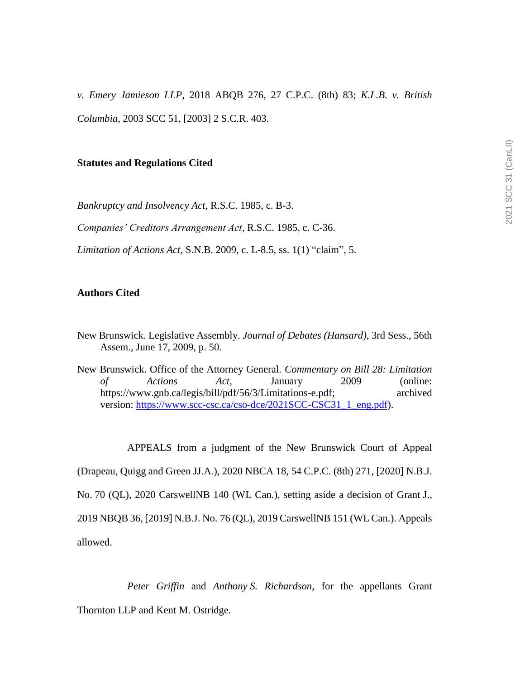*v. Emery Jamieson LLP*, 2018 ABQB 276, 27 C.P.C. (8th) 83; *K.L.B. v. British Columbia*, 2003 SCC 51, [2003] 2 S.C.R. 403.

#### **Statutes and Regulations Cited**

*Bankruptcy and Insolvency Act*, R.S.C. 1985, c. B-3.

*Companies' Creditors Arrangement Act*, R.S.C. 1985, c. C-36.

*Limitation of Actions Act*, S.N.B. 2009, c. L-8.5, ss. 1(1) "claim", 5.

# **Authors Cited**

- New Brunswick. Legislative Assembly. *Journal of Debates (Hansard)*, 3rd Sess., 56th Assem., June 17, 2009, p. 50.
- New Brunswick. Office of the Attorney General. *Commentary on Bill 28: Limitation of Actions Act*, January 2009 (online: https://www.gnb.ca/legis/bill/pdf/56/3/Limitations-e.pdf; archived version: [https://www.scc-csc.ca/cso-dce/2021SCC-CSC31\\_1\\_eng.pdf\)](https://www.scc-csc.ca/cso-dce/2021SCC-CSC31_1_eng.pdf).

APPEALS from a judgment of the New Brunswick Court of Appeal

(Drapeau, Quigg and Green JJ.A.), 2020 NBCA 18, 54 C.P.C. (8th) 271, [2020] N.B.J.

No. 70 (QL), 2020 CarswellNB 140 (WL Can.), setting aside a decision of Grant J.,

2019 NBQB 36, [2019] N.B.J. No. 76 (QL), 2019 CarswellNB 151 (WL Can.). Appeals allowed.

*Peter Griffin* and *Anthony S. Richardson*, for the appellants Grant Thornton LLP and Kent M. Ostridge.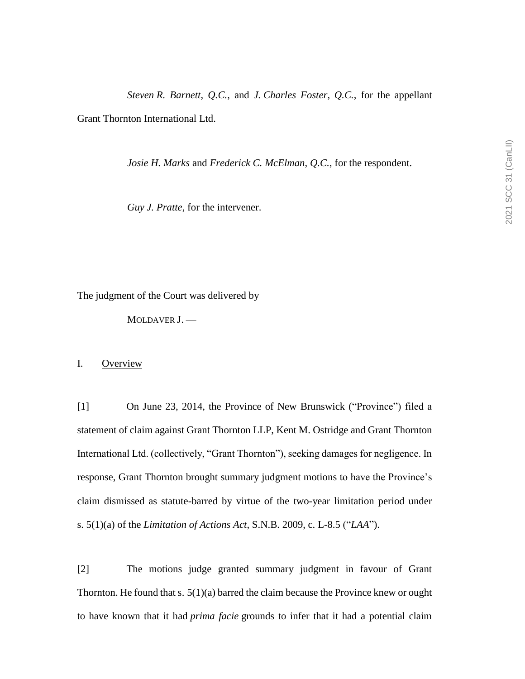*Steven R. Barnett*, *Q.C.*, and *J. Charles Foster*, *Q.C.*, for the appellant Grant Thornton International Ltd.

*Josie H. Marks* and *Frederick C. McElman*, *Q.C.*, for the respondent.

*Guy J. Pratte*, for the intervener.

The judgment of the Court was delivered by

MOLDAVER J. —

## I. Overview

[1] On June 23, 2014, the Province of New Brunswick ("Province") filed a statement of claim against Grant Thornton LLP, Kent M. Ostridge and Grant Thornton International Ltd. (collectively, "Grant Thornton"), seeking damages for negligence. In response, Grant Thornton brought summary judgment motions to have the Province's claim dismissed as statute-barred by virtue of the two-year limitation period under s. 5(1)(a) of the *Limitation of Actions Act*, S.N.B. 2009, c. L-8.5 ("*LAA*").

[2] The motions judge granted summary judgment in favour of Grant Thornton. He found that s.  $5(1)(a)$  barred the claim because the Province knew or ought to have known that it had *prima facie* grounds to infer that it had a potential claim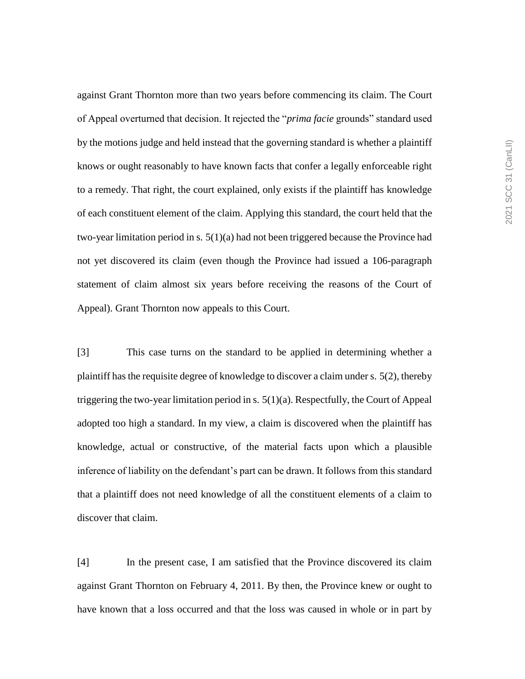against Grant Thornton more than two years before commencing its claim. The Court of Appeal overturned that decision. It rejected the "*prima facie* grounds" standard used by the motions judge and held instead that the governing standard is whether a plaintiff knows or ought reasonably to have known facts that confer a legally enforceable right to a remedy. That right, the court explained, only exists if the plaintiff has knowledge of each constituent element of the claim. Applying this standard, the court held that the two-year limitation period in s. 5(1)(a) had not been triggered because the Province had not yet discovered its claim (even though the Province had issued a 106-paragraph statement of claim almost six years before receiving the reasons of the Court of Appeal). Grant Thornton now appeals to this Court.

[3] This case turns on the standard to be applied in determining whether a plaintiff has the requisite degree of knowledge to discover a claim under s. 5(2), thereby triggering the two-year limitation period in s. 5(1)(a). Respectfully, the Court of Appeal adopted too high a standard. In my view, a claim is discovered when the plaintiff has knowledge, actual or constructive, of the material facts upon which a plausible inference of liability on the defendant's part can be drawn. It follows from this standard that a plaintiff does not need knowledge of all the constituent elements of a claim to discover that claim.

[4] In the present case, I am satisfied that the Province discovered its claim against Grant Thornton on February 4, 2011. By then, the Province knew or ought to have known that a loss occurred and that the loss was caused in whole or in part by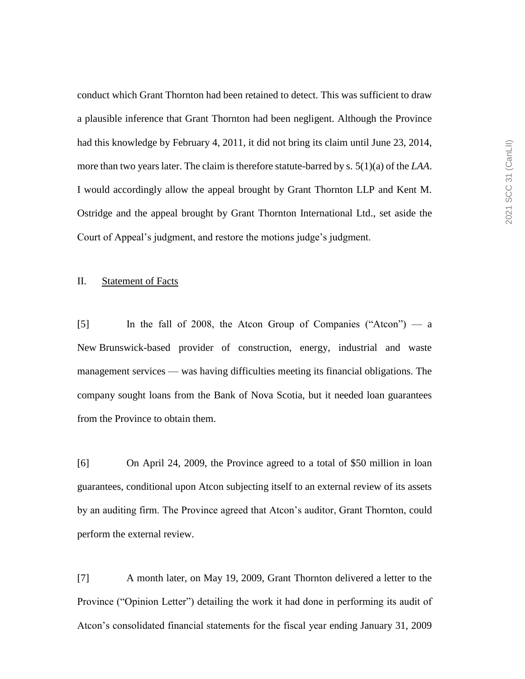conduct which Grant Thornton had been retained to detect. This was sufficient to draw a plausible inference that Grant Thornton had been negligent. Although the Province had this knowledge by February 4, 2011, it did not bring its claim until June 23, 2014, more than two years later. The claim is therefore statute-barred by s. 5(1)(a) of the *LAA*. I would accordingly allow the appeal brought by Grant Thornton LLP and Kent M. Ostridge and the appeal brought by Grant Thornton International Ltd., set aside the Court of Appeal's judgment, and restore the motions judge's judgment.

## II. Statement of Facts

[5] In the fall of 2008, the Atcon Group of Companies ("Atcon") — a New Brunswick-based provider of construction, energy, industrial and waste management services — was having difficulties meeting its financial obligations. The company sought loans from the Bank of Nova Scotia, but it needed loan guarantees from the Province to obtain them.

[6] On April 24, 2009, the Province agreed to a total of \$50 million in loan guarantees, conditional upon Atcon subjecting itself to an external review of its assets by an auditing firm. The Province agreed that Atcon's auditor, Grant Thornton, could perform the external review.

[7] A month later, on May 19, 2009, Grant Thornton delivered a letter to the Province ("Opinion Letter") detailing the work it had done in performing its audit of Atcon's consolidated financial statements for the fiscal year ending January 31, 2009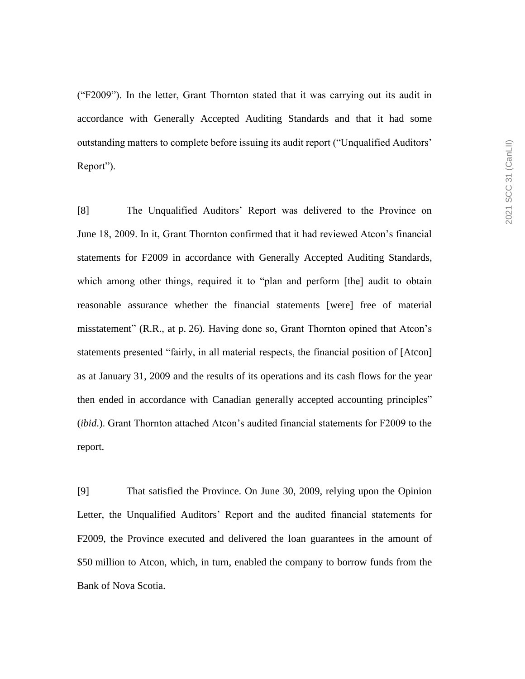("F2009"). In the letter, Grant Thornton stated that it was carrying out its audit in accordance with Generally Accepted Auditing Standards and that it had some outstanding matters to complete before issuing its audit report ("Unqualified Auditors' Report").

[8] The Unqualified Auditors' Report was delivered to the Province on June 18, 2009. In it, Grant Thornton confirmed that it had reviewed Atcon's financial statements for F2009 in accordance with Generally Accepted Auditing Standards, which among other things, required it to "plan and perform [the] audit to obtain reasonable assurance whether the financial statements [were] free of material misstatement" (R.R., at p. 26). Having done so, Grant Thornton opined that Atcon's statements presented "fairly, in all material respects, the financial position of [Atcon] as at January 31, 2009 and the results of its operations and its cash flows for the year then ended in accordance with Canadian generally accepted accounting principles" (*ibid*.). Grant Thornton attached Atcon's audited financial statements for F2009 to the report.

[9] That satisfied the Province. On June 30, 2009, relying upon the Opinion Letter, the Unqualified Auditors' Report and the audited financial statements for F2009, the Province executed and delivered the loan guarantees in the amount of \$50 million to Atcon, which, in turn, enabled the company to borrow funds from the Bank of Nova Scotia.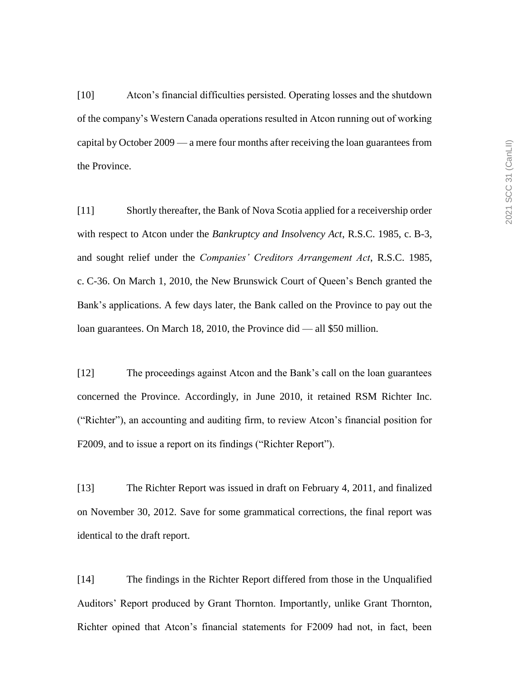[10] Atcon's financial difficulties persisted. Operating losses and the shutdown of the company's Western Canada operations resulted in Atcon running out of working capital by October 2009 — a mere four months after receiving the loan guarantees from the Province.

[11] Shortly thereafter, the Bank of Nova Scotia applied for a receivership order with respect to Atcon under the *Bankruptcy and Insolvency Act*, R.S.C. 1985, c. B-3, and sought relief under the *Companies' Creditors Arrangement Act*, R.S.C. 1985, c. C-36. On March 1, 2010, the New Brunswick Court of Queen's Bench granted the Bank's applications. A few days later, the Bank called on the Province to pay out the loan guarantees. On March 18, 2010, the Province did — all \$50 million.

[12] The proceedings against Atcon and the Bank's call on the loan guarantees concerned the Province. Accordingly, in June 2010, it retained RSM Richter Inc. ("Richter"), an accounting and auditing firm, to review Atcon's financial position for F2009, and to issue a report on its findings ("Richter Report").

[13] The Richter Report was issued in draft on February 4, 2011, and finalized on November 30, 2012. Save for some grammatical corrections, the final report was identical to the draft report.

[14] The findings in the Richter Report differed from those in the Unqualified Auditors' Report produced by Grant Thornton. Importantly, unlike Grant Thornton, Richter opined that Atcon's financial statements for F2009 had not, in fact, been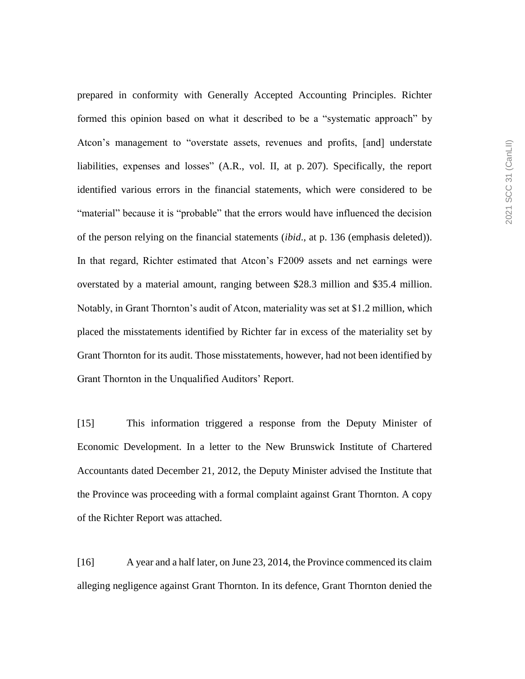prepared in conformity with Generally Accepted Accounting Principles. Richter formed this opinion based on what it described to be a "systematic approach" by Atcon's management to "overstate assets, revenues and profits, [and] understate liabilities, expenses and losses" (A.R., vol. II, at p. 207). Specifically, the report identified various errors in the financial statements, which were considered to be "material" because it is "probable" that the errors would have influenced the decision of the person relying on the financial statements (*ibid*., at p. 136 (emphasis deleted)). In that regard, Richter estimated that Atcon's F2009 assets and net earnings were overstated by a material amount, ranging between \$28.3 million and \$35.4 million. Notably, in Grant Thornton's audit of Atcon, materiality was set at \$1.2 million, which placed the misstatements identified by Richter far in excess of the materiality set by Grant Thornton for its audit. Those misstatements, however, had not been identified by Grant Thornton in the Unqualified Auditors' Report.

[15] This information triggered a response from the Deputy Minister of Economic Development. In a letter to the New Brunswick Institute of Chartered Accountants dated December 21, 2012, the Deputy Minister advised the Institute that the Province was proceeding with a formal complaint against Grant Thornton. A copy of the Richter Report was attached.

[16] A year and a half later, on June 23, 2014, the Province commenced its claim alleging negligence against Grant Thornton. In its defence, Grant Thornton denied the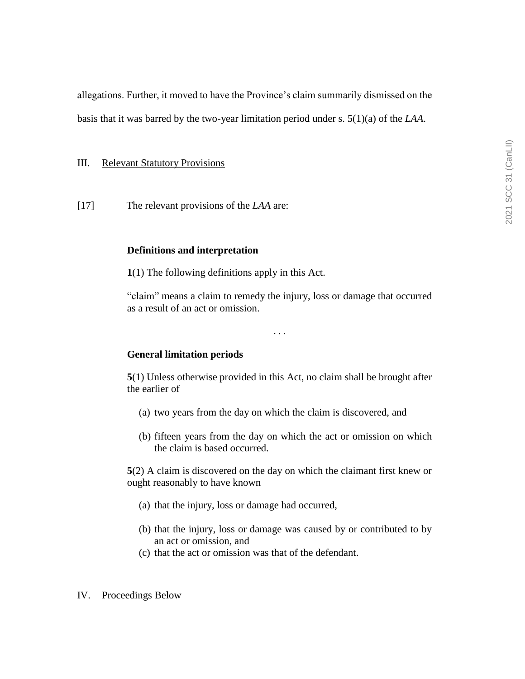allegations. Further, it moved to have the Province's claim summarily dismissed on the

basis that it was barred by the two-year limitation period under s. 5(1)(a) of the *LAA*.

## III. Relevant Statutory Provisions

[17] The relevant provisions of the *LAA* are:

## **Definitions and interpretation**

**1**(1) The following definitions apply in this Act.

"claim" means a claim to remedy the injury, loss or damage that occurred as a result of an act or omission.

. . .

# **General limitation periods**

**5**(1) Unless otherwise provided in this Act, no claim shall be brought after the earlier of

- (a) two years from the day on which the claim is discovered, and
- (b) fifteen years from the day on which the act or omission on which the claim is based occurred.

**5**(2) A claim is discovered on the day on which the claimant first knew or ought reasonably to have known

- (a) that the injury, loss or damage had occurred,
- (b) that the injury, loss or damage was caused by or contributed to by an act or omission, and
- (c) that the act or omission was that of the defendant.

## IV. Proceedings Below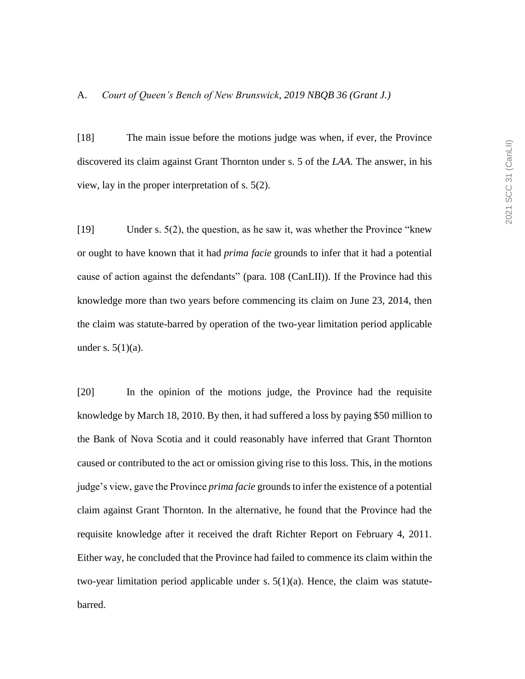[18] The main issue before the motions judge was when, if ever, the Province discovered its claim against Grant Thornton under s. 5 of the *LAA*. The answer, in his view, lay in the proper interpretation of s. 5(2).

[19] Under s. 5(2), the question, as he saw it, was whether the Province "knew or ought to have known that it had *prima facie* grounds to infer that it had a potential cause of action against the defendants" (para. 108 (CanLII)). If the Province had this knowledge more than two years before commencing its claim on June 23, 2014, then the claim was statute-barred by operation of the two-year limitation period applicable under s.  $5(1)(a)$ .

[20] In the opinion of the motions judge, the Province had the requisite knowledge by March 18, 2010. By then, it had suffered a loss by paying \$50 million to the Bank of Nova Scotia and it could reasonably have inferred that Grant Thornton caused or contributed to the act or omission giving rise to this loss. This, in the motions judge's view, gave the Province *prima facie* grounds to infer the existence of a potential claim against Grant Thornton. In the alternative, he found that the Province had the requisite knowledge after it received the draft Richter Report on February 4, 2011. Either way, he concluded that the Province had failed to commence its claim within the two-year limitation period applicable under s.  $5(1)(a)$ . Hence, the claim was statutebarred.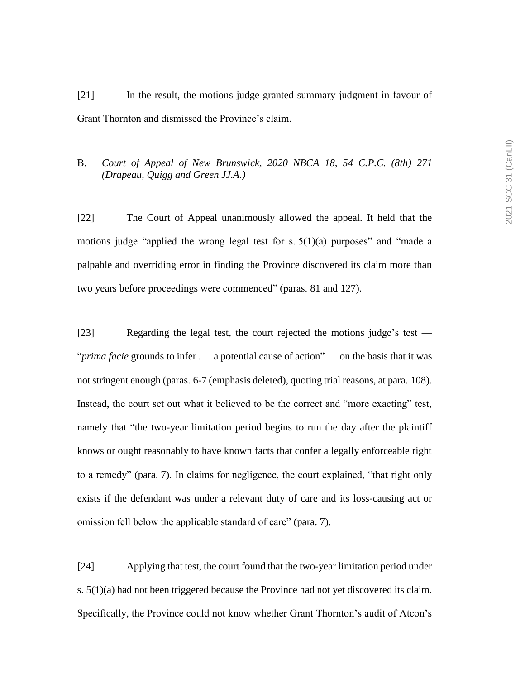[21] In the result, the motions judge granted summary judgment in favour of Grant Thornton and dismissed the Province's claim.

# B. *Court of Appeal of New Brunswick, 2020 NBCA 18, 54 C.P.C. (8th) 271 (Drapeau, Quigg and Green JJ.A.)*

[22] The Court of Appeal unanimously allowed the appeal. It held that the motions judge "applied the wrong legal test for s. 5(1)(a) purposes" and "made a palpable and overriding error in finding the Province discovered its claim more than two years before proceedings were commenced" (paras. 81 and 127).

[23] Regarding the legal test, the court rejected the motions judge's test — "*prima facie* grounds to infer . . . a potential cause of action" — on the basis that it was not stringent enough (paras. 6-7 (emphasis deleted), quoting trial reasons, at para. 108). Instead, the court set out what it believed to be the correct and "more exacting" test, namely that "the two-year limitation period begins to run the day after the plaintiff knows or ought reasonably to have known facts that confer a legally enforceable right to a remedy" (para. 7). In claims for negligence, the court explained, "that right only exists if the defendant was under a relevant duty of care and its loss-causing act or omission fell below the applicable standard of care" (para. 7).

[24] Applying that test, the court found that the two-year limitation period under s. 5(1)(a) had not been triggered because the Province had not yet discovered its claim. Specifically, the Province could not know whether Grant Thornton's audit of Atcon's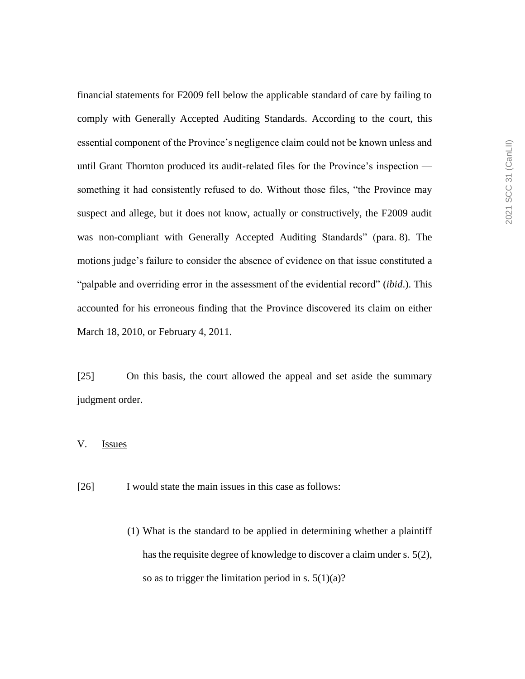financial statements for F2009 fell below the applicable standard of care by failing to comply with Generally Accepted Auditing Standards. According to the court, this essential component of the Province's negligence claim could not be known unless and until Grant Thornton produced its audit-related files for the Province's inspection something it had consistently refused to do. Without those files, "the Province may suspect and allege, but it does not know, actually or constructively, the F2009 audit was non-compliant with Generally Accepted Auditing Standards" (para. 8). The motions judge's failure to consider the absence of evidence on that issue constituted a "palpable and overriding error in the assessment of the evidential record" (*ibid*.). This accounted for his erroneous finding that the Province discovered its claim on either March 18, 2010, or February 4, 2011.

[25] On this basis, the court allowed the appeal and set aside the summary judgment order.

# V. Issues

[26] I would state the main issues in this case as follows:

(1) What is the standard to be applied in determining whether a plaintiff has the requisite degree of knowledge to discover a claim under s. 5(2), so as to trigger the limitation period in s.  $5(1)(a)$ ?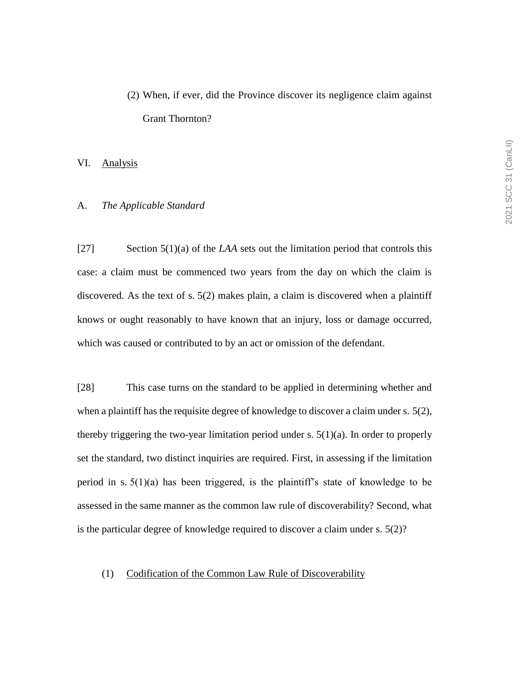# (2) When, if ever, did the Province discover its negligence claim against Grant Thornton?

#### VI. Analysis

## A. *The Applicable Standard*

[27] Section 5(1)(a) of the *LAA* sets out the limitation period that controls this case: a claim must be commenced two years from the day on which the claim is discovered. As the text of s. 5(2) makes plain, a claim is discovered when a plaintiff knows or ought reasonably to have known that an injury, loss or damage occurred, which was caused or contributed to by an act or omission of the defendant.

[28] This case turns on the standard to be applied in determining whether and when a plaintiff has the requisite degree of knowledge to discover a claim under s. 5(2), thereby triggering the two-year limitation period under s.  $5(1)(a)$ . In order to properly set the standard, two distinct inquiries are required. First, in assessing if the limitation period in s.  $5(1)(a)$  has been triggered, is the plaintiff's state of knowledge to be assessed in the same manner as the common law rule of discoverability? Second, what is the particular degree of knowledge required to discover a claim under s. 5(2)?

#### (1) Codification of the Common Law Rule of Discoverability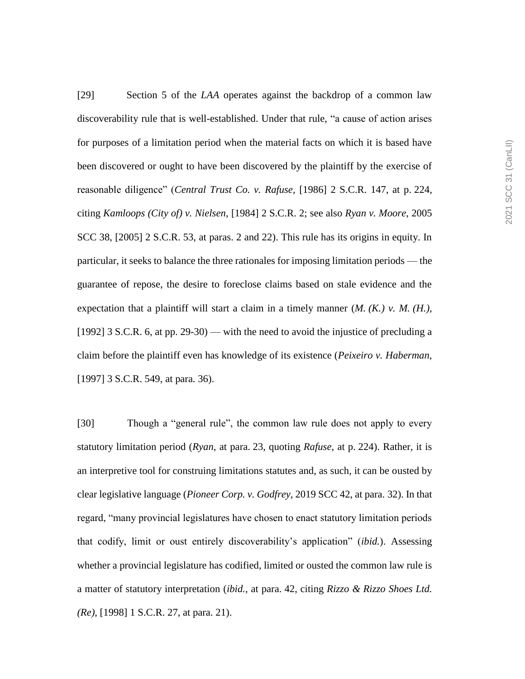[29] Section 5 of the *LAA* operates against the backdrop of a common law discoverability rule that is well-established. Under that rule, "a cause of action arises for purposes of a limitation period when the material facts on which it is based have been discovered or ought to have been discovered by the plaintiff by the exercise of reasonable diligence" (*Central Trust Co. v. Rafuse*, [1986] 2 S.C.R. 147, at p. 224, citing *Kamloops (City of) v. Nielsen*, [1984] 2 S.C.R. 2; see also *Ryan v. Moore*, 2005 SCC 38, [2005] 2 S.C.R. 53, at paras. 2 and 22). This rule has its origins in equity. In particular, it seeks to balance the three rationales for imposing limitation periods — the guarantee of repose, the desire to foreclose claims based on stale evidence and the expectation that a plaintiff will start a claim in a timely manner (*M. (K.) v. M. (H.)*, [1992] 3 S.C.R. 6, at pp. 29-30) — with the need to avoid the injustice of precluding a claim before the plaintiff even has knowledge of its existence (*Peixeiro v. Haberman,*  [1997] 3 S.C.R. 549, at para. 36).

[30] Though a "general rule", the common law rule does not apply to every statutory limitation period (*Ryan*, at para. 23, quoting *Rafuse*, at p. 224). Rather, it is an interpretive tool for construing limitations statutes and, as such, it can be ousted by clear legislative language (*Pioneer Corp. v. Godfrey*, 2019 SCC 42, at para. 32). In that regard, "many provincial legislatures have chosen to enact statutory limitation periods that codify, limit or oust entirely discoverability's application" (*ibid.*). Assessing whether a provincial legislature has codified, limited or ousted the common law rule is a matter of statutory interpretation (*ibid.*, at para. 42, citing *Rizzo & Rizzo Shoes Ltd. (Re)*, [1998] 1 S.C.R. 27, at para. 21).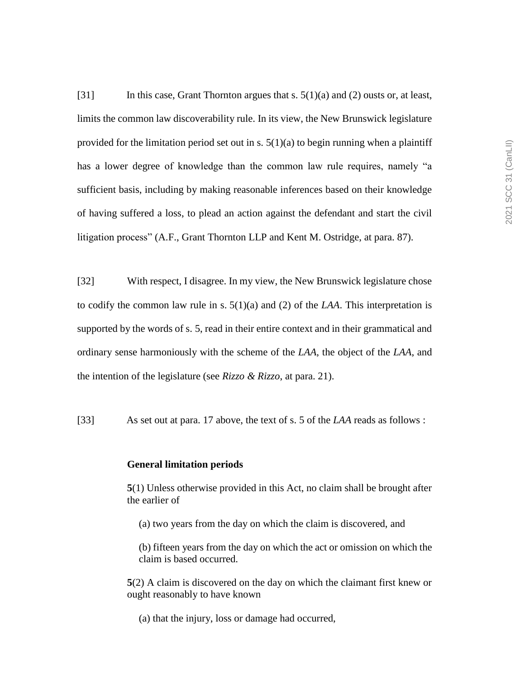[31] In this case, Grant Thornton argues that s. 5(1)(a) and (2) ousts or, at least, limits the common law discoverability rule. In its view, the New Brunswick legislature provided for the limitation period set out in s.  $5(1)(a)$  to begin running when a plaintiff has a lower degree of knowledge than the common law rule requires, namely "a sufficient basis, including by making reasonable inferences based on their knowledge of having suffered a loss, to plead an action against the defendant and start the civil litigation process" (A.F., Grant Thornton LLP and Kent M. Ostridge, at para. 87).

[32] With respect, I disagree. In my view, the New Brunswick legislature chose to codify the common law rule in s.  $5(1)(a)$  and (2) of the *LAA*. This interpretation is supported by the words of s. 5, read in their entire context and in their grammatical and ordinary sense harmoniously with the scheme of the *LAA*, the object of the *LAA*, and the intention of the legislature (see *Rizzo & Rizzo*, at para. 21).

[33] As set out at para. 17 above, the text of s. 5 of the *LAA* reads as follows :

#### **General limitation periods**

**5**(1) Unless otherwise provided in this Act, no claim shall be brought after the earlier of

(a) two years from the day on which the claim is discovered, and

(b) fifteen years from the day on which the act or omission on which the claim is based occurred.

**5**(2) A claim is discovered on the day on which the claimant first knew or ought reasonably to have known

(a) that the injury, loss or damage had occurred,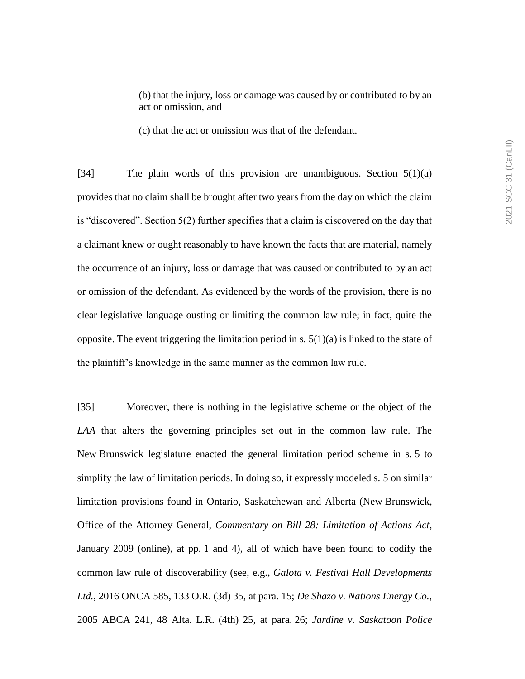(c) that the act or omission was that of the defendant.

[34] The plain words of this provision are unambiguous. Section 5(1)(a) provides that no claim shall be brought after two years from the day on which the claim is "discovered". Section 5(2) further specifies that a claim is discovered on the day that a claimant knew or ought reasonably to have known the facts that are material, namely the occurrence of an injury, loss or damage that was caused or contributed to by an act or omission of the defendant. As evidenced by the words of the provision, there is no clear legislative language ousting or limiting the common law rule; in fact, quite the opposite. The event triggering the limitation period in s.  $5(1)(a)$  is linked to the state of the plaintiff's knowledge in the same manner as the common law rule.

[35] Moreover, there is nothing in the legislative scheme or the object of the *LAA* that alters the governing principles set out in the common law rule. The New Brunswick legislature enacted the general limitation period scheme in s. 5 to simplify the law of limitation periods. In doing so, it expressly modeled s. 5 on similar limitation provisions found in Ontario, Saskatchewan and Alberta (New Brunswick, Office of the Attorney General, *Commentary on Bill 28: Limitation of Actions Act*, January 2009 (online), at pp. 1 and 4), all of which have been found to codify the common law rule of discoverability (see, e.g., *Galota v. Festival Hall Developments Ltd.*, 2016 ONCA 585, 133 O.R. (3d) 35, at para. 15; *De Shazo v. Nations Energy Co.*, 2005 ABCA 241, 48 Alta. L.R. (4th) 25, at para. 26; *Jardine v. Saskatoon Police*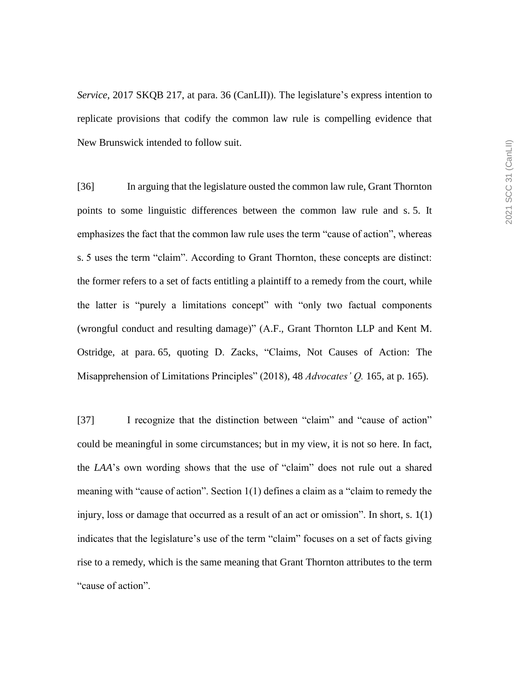*Service*, 2017 SKQB 217, at para. 36 (CanLII)). The legislature's express intention to replicate provisions that codify the common law rule is compelling evidence that New Brunswick intended to follow suit.

[36] In arguing that the legislature ousted the common law rule, Grant Thornton points to some linguistic differences between the common law rule and s. 5. It emphasizes the fact that the common law rule uses the term "cause of action", whereas s. 5 uses the term "claim". According to Grant Thornton, these concepts are distinct: the former refers to a set of facts entitling a plaintiff to a remedy from the court, while the latter is "purely a limitations concept" with "only two factual components (wrongful conduct and resulting damage)" (A.F., Grant Thornton LLP and Kent M. Ostridge, at para. 65, quoting D. Zacks, "Claims, Not Causes of Action: The Misapprehension of Limitations Principles" (2018), 48 *Advocates' Q.* 165, at p. 165).

[37] I recognize that the distinction between "claim" and "cause of action" could be meaningful in some circumstances; but in my view, it is not so here. In fact, the *LAA*'s own wording shows that the use of "claim" does not rule out a shared meaning with "cause of action". Section 1(1) defines a claim as a "claim to remedy the injury, loss or damage that occurred as a result of an act or omission". In short, s. 1(1) indicates that the legislature's use of the term "claim" focuses on a set of facts giving rise to a remedy, which is the same meaning that Grant Thornton attributes to the term "cause of action".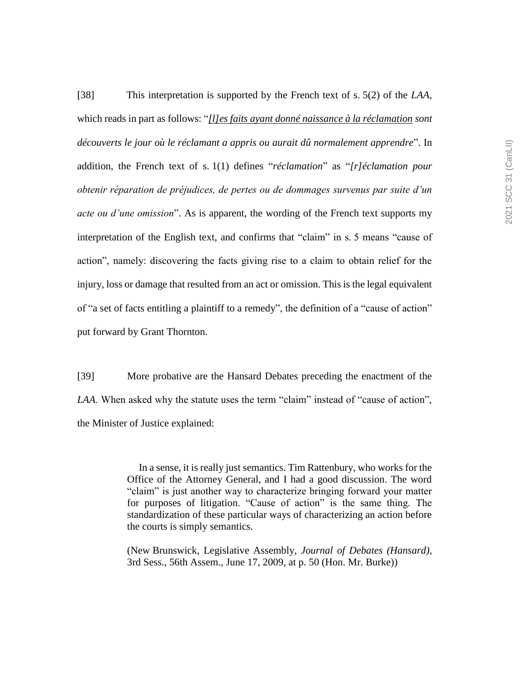[38] This interpretation is supported by the French text of s. 5(2) of the *LAA*, which reads in part as follows: "*[l]es faits ayant donné naissance à la réclamation sont découverts le jour où le réclamant a appris ou aurait dû normalement apprendre*". In addition, the French text of s. 1(1) defines "*réclamation*" as "*[r]éclamation pour obtenir réparation de préjudices, de pertes ou de dommages survenus par suite d'un acte ou d'une omission*". As is apparent, the wording of the French text supports my interpretation of the English text, and confirms that "claim" in s. 5 means "cause of action", namely: discovering the facts giving rise to a claim to obtain relief for the injury, loss or damage that resulted from an act or omission. This is the legal equivalent of "a set of facts entitling a plaintiff to a remedy", the definition of a "cause of action" put forward by Grant Thornton.

[39] More probative are the Hansard Debates preceding the enactment of the *LAA*. When asked why the statute uses the term "claim" instead of "cause of action", the Minister of Justice explained:

> In a sense, it is really just semantics. Tim Rattenbury, who works for the Office of the Attorney General, and I had a good discussion. The word "claim" is just another way to characterize bringing forward your matter for purposes of litigation. "Cause of action" is the same thing. The standardization of these particular ways of characterizing an action before the courts is simply semantics.

> (New Brunswick, Legislative Assembly, *Journal of Debates (Hansard)*, 3rd Sess., 56th Assem., June 17, 2009, at p. 50 (Hon. Mr. Burke))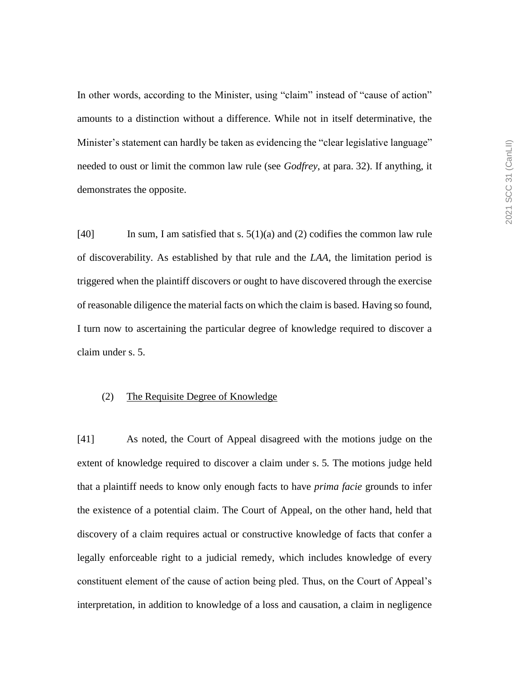In other words, according to the Minister, using "claim" instead of "cause of action" amounts to a distinction without a difference. While not in itself determinative, the Minister's statement can hardly be taken as evidencing the "clear legislative language" needed to oust or limit the common law rule (see *Godfrey*, at para. 32). If anything, it demonstrates the opposite.

[40] In sum, I am satisfied that s.  $5(1)(a)$  and (2) codifies the common law rule of discoverability. As established by that rule and the *LAA*, the limitation period is triggered when the plaintiff discovers or ought to have discovered through the exercise of reasonable diligence the material facts on which the claim is based. Having so found, I turn now to ascertaining the particular degree of knowledge required to discover a claim under s. 5.

#### (2) The Requisite Degree of Knowledge

[41] As noted, the Court of Appeal disagreed with the motions judge on the extent of knowledge required to discover a claim under s. 5*.* The motions judge held that a plaintiff needs to know only enough facts to have *prima facie* grounds to infer the existence of a potential claim. The Court of Appeal, on the other hand, held that discovery of a claim requires actual or constructive knowledge of facts that confer a legally enforceable right to a judicial remedy, which includes knowledge of every constituent element of the cause of action being pled. Thus, on the Court of Appeal's interpretation, in addition to knowledge of a loss and causation, a claim in negligence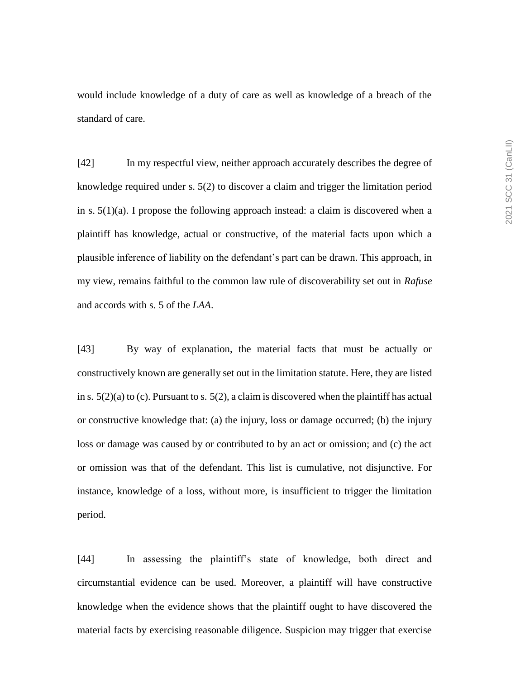would include knowledge of a duty of care as well as knowledge of a breach of the standard of care.

[42] In my respectful view, neither approach accurately describes the degree of knowledge required under s. 5(2) to discover a claim and trigger the limitation period in s.  $5(1)(a)$ . I propose the following approach instead: a claim is discovered when a plaintiff has knowledge, actual or constructive, of the material facts upon which a plausible inference of liability on the defendant's part can be drawn. This approach, in my view, remains faithful to the common law rule of discoverability set out in *Rafuse*  and accords with s. 5 of the *LAA*.

[43] By way of explanation, the material facts that must be actually or constructively known are generally set out in the limitation statute. Here, they are listed in s.  $5(2)(a)$  to (c). Pursuant to s.  $5(2)$ , a claim is discovered when the plaintiff has actual or constructive knowledge that: (a) the injury, loss or damage occurred; (b) the injury loss or damage was caused by or contributed to by an act or omission; and (c) the act or omission was that of the defendant. This list is cumulative, not disjunctive. For instance, knowledge of a loss, without more, is insufficient to trigger the limitation period.

[44] In assessing the plaintiff's state of knowledge, both direct and circumstantial evidence can be used. Moreover, a plaintiff will have constructive knowledge when the evidence shows that the plaintiff ought to have discovered the material facts by exercising reasonable diligence. Suspicion may trigger that exercise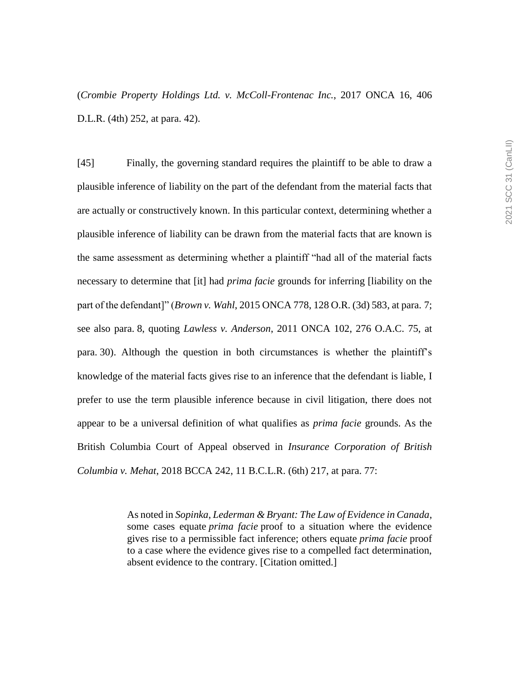(*Crombie Property Holdings Ltd. v. McColl-Frontenac Inc.*, 2017 ONCA 16, 406 D.L.R. (4th) 252, at para. 42).

[45] Finally, the governing standard requires the plaintiff to be able to draw a plausible inference of liability on the part of the defendant from the material facts that are actually or constructively known. In this particular context, determining whether a plausible inference of liability can be drawn from the material facts that are known is the same assessment as determining whether a plaintiff "had all of the material facts necessary to determine that [it] had *prima facie* grounds for inferring [liability on the part of the defendant]" (*Brown v. Wahl*, 2015 ONCA 778, 128 O.R. (3d) 583, at para. 7; see also para. 8, quoting *Lawless v. Anderson*, 2011 ONCA 102, 276 O.A.C. 75, at para. 30). Although the question in both circumstances is whether the plaintiff's knowledge of the material facts gives rise to an inference that the defendant is liable, I prefer to use the term plausible inference because in civil litigation, there does not appear to be a universal definition of what qualifies as *prima facie* grounds. As the British Columbia Court of Appeal observed in *Insurance Corporation of British Columbia v. Mehat*, 2018 BCCA 242, 11 B.C.L.R. (6th) 217, at para. 77:

> As noted in *Sopinka*, *Lederman & Bryant: The Law of Evidence in Canada*, some cases equate *prima facie* proof to a situation where the evidence gives rise to a permissible fact inference; others equate *prima facie* proof to a case where the evidence gives rise to a compelled fact determination, absent evidence to the contrary. [Citation omitted.]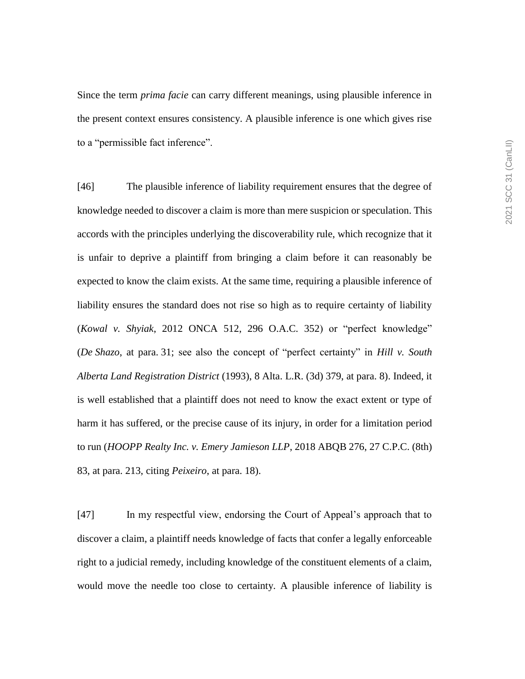Since the term *prima facie* can carry different meanings, using plausible inference in the present context ensures consistency. A plausible inference is one which gives rise to a "permissible fact inference".

[46] The plausible inference of liability requirement ensures that the degree of knowledge needed to discover a claim is more than mere suspicion or speculation. This accords with the principles underlying the discoverability rule, which recognize that it is unfair to deprive a plaintiff from bringing a claim before it can reasonably be expected to know the claim exists. At the same time, requiring a plausible inference of liability ensures the standard does not rise so high as to require certainty of liability (*Kowal v. Shyiak*, 2012 ONCA 512, 296 O.A.C. 352) or "perfect knowledge" (*De Shazo*, at para. 31; see also the concept of "perfect certainty" in *Hill v. South Alberta Land Registration District* (1993), 8 Alta. L.R. (3d) 379, at para. 8). Indeed, it is well established that a plaintiff does not need to know the exact extent or type of harm it has suffered, or the precise cause of its injury, in order for a limitation period to run (*HOOPP Realty Inc. v. Emery Jamieson LLP*, 2018 ABQB 276, 27 C.P.C. (8th) 83, at para. 213, citing *Peixeiro*, at para. 18).

[47] In my respectful view, endorsing the Court of Appeal's approach that to discover a claim, a plaintiff needs knowledge of facts that confer a legally enforceable right to a judicial remedy, including knowledge of the constituent elements of a claim, would move the needle too close to certainty. A plausible inference of liability is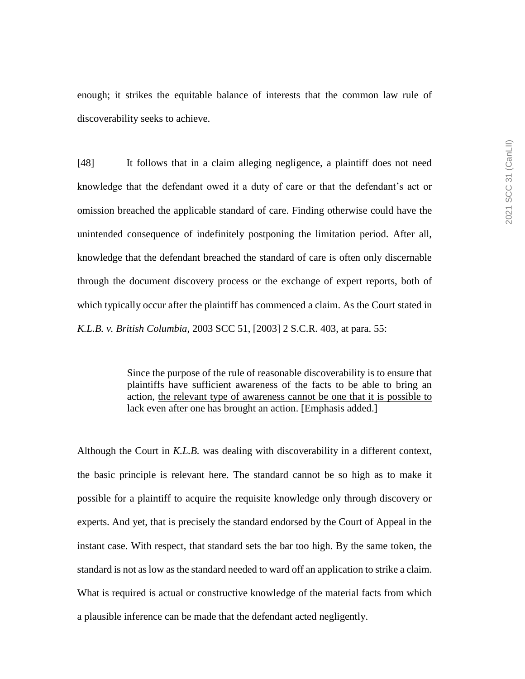enough; it strikes the equitable balance of interests that the common law rule of discoverability seeks to achieve.

[48] It follows that in a claim alleging negligence, a plaintiff does not need knowledge that the defendant owed it a duty of care or that the defendant's act or omission breached the applicable standard of care. Finding otherwise could have the unintended consequence of indefinitely postponing the limitation period. After all, knowledge that the defendant breached the standard of care is often only discernable through the document discovery process or the exchange of expert reports, both of which typically occur after the plaintiff has commenced a claim. As the Court stated in *K.L.B. v. British Columbia*, 2003 SCC 51, [2003] 2 S.C.R. 403, at para. 55:

> Since the purpose of the rule of reasonable discoverability is to ensure that plaintiffs have sufficient awareness of the facts to be able to bring an action, the relevant type of awareness cannot be one that it is possible to lack even after one has brought an action. [Emphasis added.]

Although the Court in *K.L.B.* was dealing with discoverability in a different context, the basic principle is relevant here. The standard cannot be so high as to make it possible for a plaintiff to acquire the requisite knowledge only through discovery or experts. And yet, that is precisely the standard endorsed by the Court of Appeal in the instant case. With respect, that standard sets the bar too high. By the same token, the standard is not as low as the standard needed to ward off an application to strike a claim. What is required is actual or constructive knowledge of the material facts from which a plausible inference can be made that the defendant acted negligently.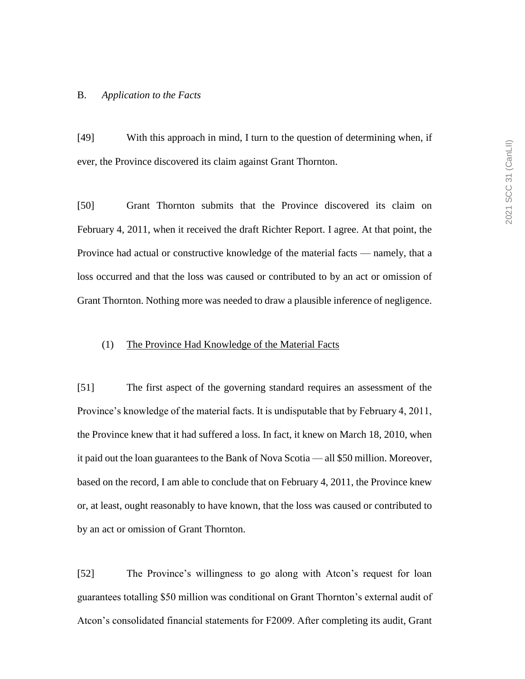#### B. *Application to the Facts*

[49] With this approach in mind, I turn to the question of determining when, if ever, the Province discovered its claim against Grant Thornton.

[50] Grant Thornton submits that the Province discovered its claim on February 4, 2011, when it received the draft Richter Report. I agree. At that point, the Province had actual or constructive knowledge of the material facts — namely, that a loss occurred and that the loss was caused or contributed to by an act or omission of Grant Thornton. Nothing more was needed to draw a plausible inference of negligence.

## (1) The Province Had Knowledge of the Material Facts

[51] The first aspect of the governing standard requires an assessment of the Province's knowledge of the material facts. It is undisputable that by February 4, 2011, the Province knew that it had suffered a loss. In fact, it knew on March 18, 2010, when it paid out the loan guarantees to the Bank of Nova Scotia — all \$50 million. Moreover, based on the record, I am able to conclude that on February 4, 2011, the Province knew or, at least, ought reasonably to have known, that the loss was caused or contributed to by an act or omission of Grant Thornton.

[52] The Province's willingness to go along with Atcon's request for loan guarantees totalling \$50 million was conditional on Grant Thornton's external audit of Atcon's consolidated financial statements for F2009. After completing its audit, Grant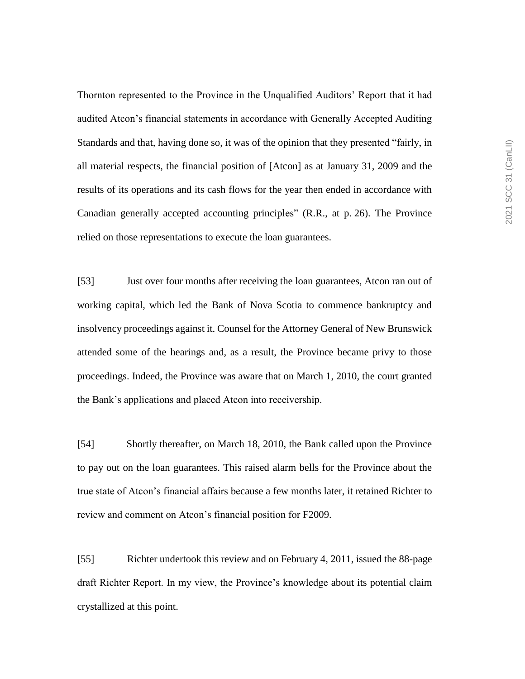Thornton represented to the Province in the Unqualified Auditors' Report that it had audited Atcon's financial statements in accordance with Generally Accepted Auditing Standards and that, having done so, it was of the opinion that they presented "fairly, in all material respects, the financial position of [Atcon] as at January 31, 2009 and the results of its operations and its cash flows for the year then ended in accordance with Canadian generally accepted accounting principles" (R.R., at p. 26). The Province relied on those representations to execute the loan guarantees.

[53] Just over four months after receiving the loan guarantees, Atcon ran out of working capital, which led the Bank of Nova Scotia to commence bankruptcy and insolvency proceedings against it. Counsel for the Attorney General of New Brunswick attended some of the hearings and, as a result, the Province became privy to those proceedings. Indeed, the Province was aware that on March 1, 2010, the court granted the Bank's applications and placed Atcon into receivership.

[54] Shortly thereafter, on March 18, 2010, the Bank called upon the Province to pay out on the loan guarantees. This raised alarm bells for the Province about the true state of Atcon's financial affairs because a few months later, it retained Richter to review and comment on Atcon's financial position for F2009.

[55] Richter undertook this review and on February 4, 2011, issued the 88-page draft Richter Report. In my view, the Province's knowledge about its potential claim crystallized at this point.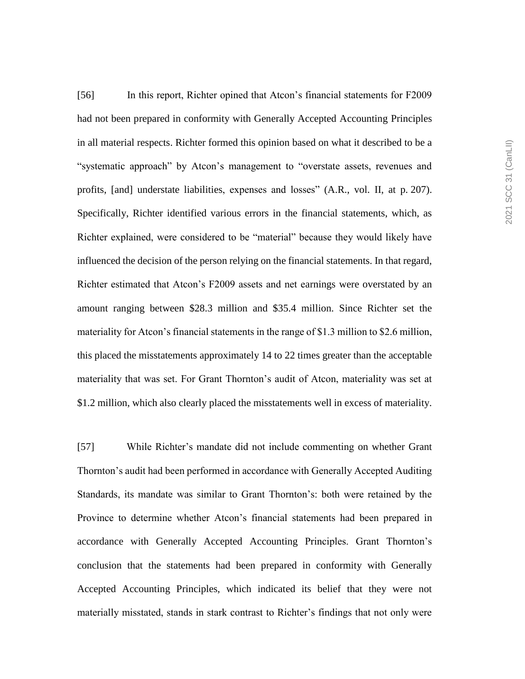[56] In this report, Richter opined that Atcon's financial statements for F2009 had not been prepared in conformity with Generally Accepted Accounting Principles in all material respects. Richter formed this opinion based on what it described to be a "systematic approach" by Atcon's management to "overstate assets, revenues and profits, [and] understate liabilities, expenses and losses" (A.R., vol. II, at p. 207). Specifically, Richter identified various errors in the financial statements, which, as Richter explained, were considered to be "material" because they would likely have influenced the decision of the person relying on the financial statements. In that regard, Richter estimated that Atcon's F2009 assets and net earnings were overstated by an amount ranging between \$28.3 million and \$35.4 million. Since Richter set the materiality for Atcon's financial statements in the range of \$1.3 million to \$2.6 million, this placed the misstatements approximately 14 to 22 times greater than the acceptable materiality that was set. For Grant Thornton's audit of Atcon, materiality was set at \$1.2 million, which also clearly placed the misstatements well in excess of materiality.

[57] While Richter's mandate did not include commenting on whether Grant Thornton's audit had been performed in accordance with Generally Accepted Auditing Standards, its mandate was similar to Grant Thornton's: both were retained by the Province to determine whether Atcon's financial statements had been prepared in accordance with Generally Accepted Accounting Principles. Grant Thornton's conclusion that the statements had been prepared in conformity with Generally Accepted Accounting Principles, which indicated its belief that they were not materially misstated, stands in stark contrast to Richter's findings that not only were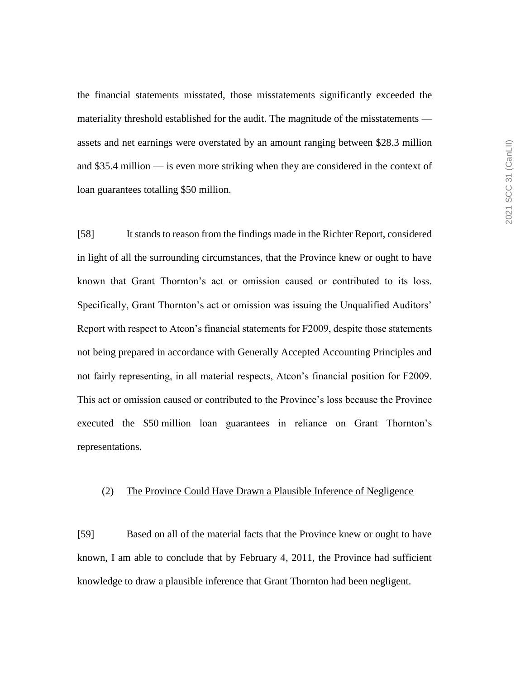the financial statements misstated, those misstatements significantly exceeded the materiality threshold established for the audit. The magnitude of the misstatements assets and net earnings were overstated by an amount ranging between \$28.3 million and \$35.4 million — is even more striking when they are considered in the context of loan guarantees totalling \$50 million.

[58] It stands to reason from the findings made in the Richter Report, considered in light of all the surrounding circumstances, that the Province knew or ought to have known that Grant Thornton's act or omission caused or contributed to its loss. Specifically, Grant Thornton's act or omission was issuing the Unqualified Auditors' Report with respect to Atcon's financial statements for F2009, despite those statements not being prepared in accordance with Generally Accepted Accounting Principles and not fairly representing, in all material respects, Atcon's financial position for F2009. This act or omission caused or contributed to the Province's loss because the Province executed the \$50 million loan guarantees in reliance on Grant Thornton's representations.

## (2) The Province Could Have Drawn a Plausible Inference of Negligence

[59] Based on all of the material facts that the Province knew or ought to have known, I am able to conclude that by February 4, 2011, the Province had sufficient knowledge to draw a plausible inference that Grant Thornton had been negligent.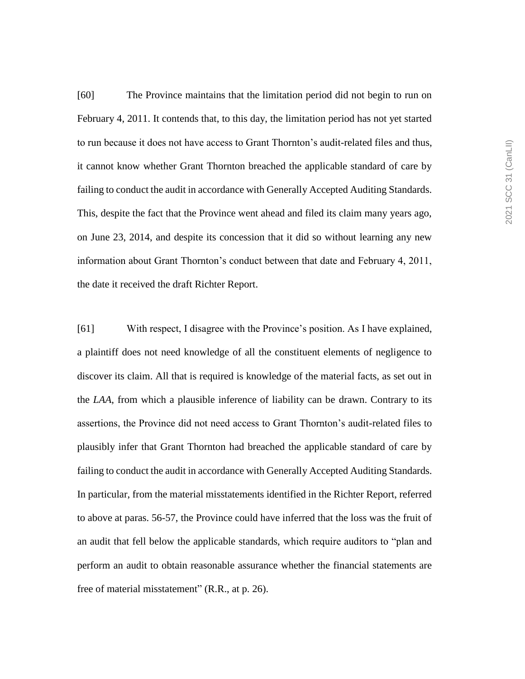[60] The Province maintains that the limitation period did not begin to run on February 4, 2011. It contends that, to this day, the limitation period has not yet started to run because it does not have access to Grant Thornton's audit-related files and thus, it cannot know whether Grant Thornton breached the applicable standard of care by failing to conduct the audit in accordance with Generally Accepted Auditing Standards. This, despite the fact that the Province went ahead and filed its claim many years ago, on June 23, 2014, and despite its concession that it did so without learning any new information about Grant Thornton's conduct between that date and February 4, 2011, the date it received the draft Richter Report.

[61] With respect, I disagree with the Province's position. As I have explained, a plaintiff does not need knowledge of all the constituent elements of negligence to discover its claim. All that is required is knowledge of the material facts, as set out in the *LAA*, from which a plausible inference of liability can be drawn. Contrary to its assertions, the Province did not need access to Grant Thornton's audit-related files to plausibly infer that Grant Thornton had breached the applicable standard of care by failing to conduct the audit in accordance with Generally Accepted Auditing Standards. In particular, from the material misstatements identified in the Richter Report, referred to above at paras. 56-57, the Province could have inferred that the loss was the fruit of an audit that fell below the applicable standards, which require auditors to "plan and perform an audit to obtain reasonable assurance whether the financial statements are free of material misstatement" (R.R., at p. 26).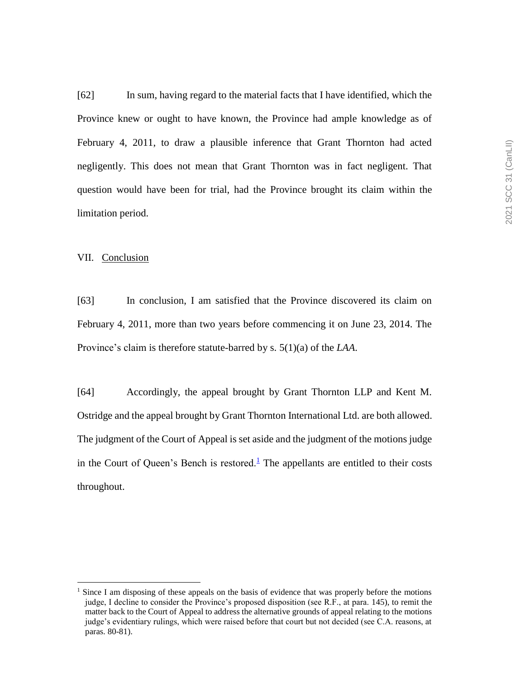[62] In sum, having regard to the material facts that I have identified, which the Province knew or ought to have known, the Province had ample knowledge as of February 4, 2011, to draw a plausible inference that Grant Thornton had acted negligently. This does not mean that Grant Thornton was in fact negligent. That question would have been for trial, had the Province brought its claim within the limitation period.

#### VII. Conclusion

 $\overline{a}$ 

[63] In conclusion, I am satisfied that the Province discovered its claim on February 4, 2011, more than two years before commencing it on June 23, 2014. The Province's claim is therefore statute-barred by s. 5(1)(a) of the *LAA*.

[64] Accordingly, the appeal brought by Grant Thornton LLP and Kent M. Ostridge and the appeal brought by Grant Thornton International Ltd. are both allowed. The judgment of the Court of Appeal is set aside and the judgment of the motions judge in the Court of Queen's Bench is restored. $<sup>1</sup>$  The appellants are entitled to their costs</sup> throughout.

<sup>&</sup>lt;sup>1</sup> Since I am disposing of these appeals on the basis of evidence that was properly before the motions judge, I decline to consider the Province's proposed disposition (see R.F., at para. 145), to remit the matter back to the Court of Appeal to address the alternative grounds of appeal relating to the motions judge's evidentiary rulings, which were raised before that court but not decided (see C.A. reasons, at paras. 80-81).